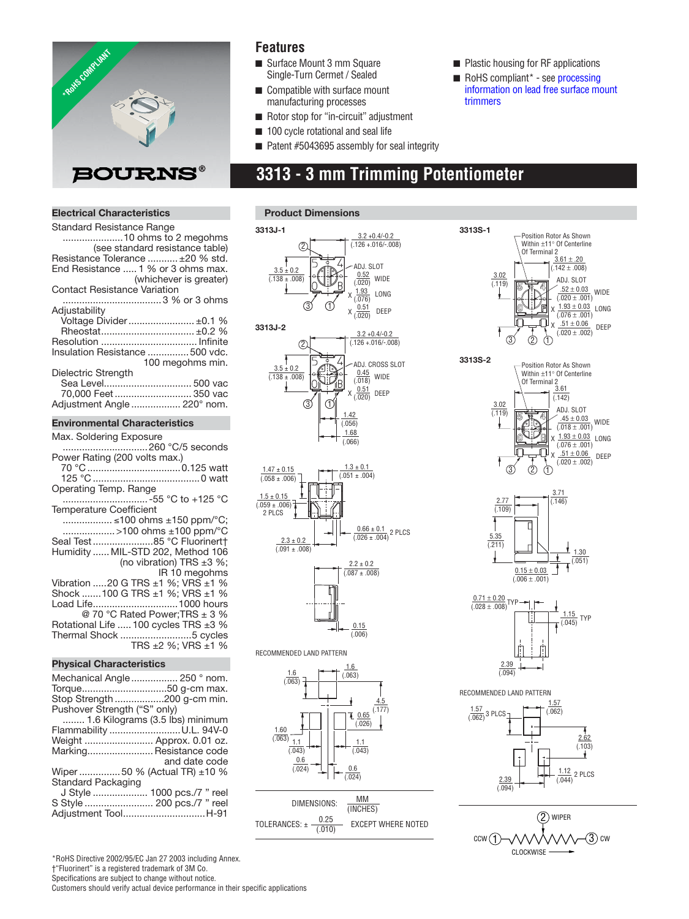

### **Features**

- Surface Mount 3 mm Square Single-Turn Cermet / Sealed
- Compatible with surface mount manufacturing processes
- Plastic housing for RF applications
- RoHS compliant\* see processing  [information on lead free surface mount](http://www.bourns.com/pdfs/LeadFreeSolderProfile.pdf)  trimmers
- 
- Rotor stop for "in-circuit" adjustment
- 100 cycle rotational and seal life ■ Patent #5043695 assembly for seal integrity

# **3313 - 3 mm Trimming Potentiometer**

### **Electrical Characteristics**

| <b>Standard Resistance Range</b>    |
|-------------------------------------|
|                                     |
| (see standard resistance table)     |
| Resistance Tolerance  ±20 % std.    |
| End Resistance  1 % or 3 ohms max.  |
| (whichever is greater)              |
| <b>Contact Resistance Variation</b> |
|                                     |
| Adiustability                       |
| Voltage Divider ±0.1 %              |
| Rheostat ±0.2 %                     |
|                                     |
| Insulation Resistance  500 vdc.     |
| 100 megohms min.                    |
| Dielectric Strength                 |
| Sea Level 500 vac                   |
| 70,000 Feet  350 vac                |
| Adjustment Angle  220° nom.         |
|                                     |

#### **Environmental Characteristics**

| Max. Soldering Exposure                                        |
|----------------------------------------------------------------|
|                                                                |
| Power Rating (200 volts max.)                                  |
|                                                                |
| Operating Temp. Range                                          |
|                                                                |
| <b>Temperature Coefficient</b>                                 |
| ≤100 ohms ±150 ppm/°C;                                         |
| >100 ohms ±100 ppm/°C                                          |
| Seal Test85 °C Fluorinert†                                     |
| Humidity  MIL-STD 202, Method 106                              |
| (no vibration) TRS $\pm 3$ %;                                  |
| IR 10 megohms                                                  |
| Vibration 20 G TRS $\pm$ 1 %; VRS $\pm$ 1 %                    |
| Shock 100 G TRS ±1 %; VRS ±1 %                                 |
| Load Life1000 hours                                            |
| @ 70 °C Rated Power; TRS ± 3 %                                 |
| Rotational Life  100 cycles TRS ±3 %<br>Thermal Shock 5 cycles |
| TRS ±2 %; VRS ±1 %                                             |
|                                                                |

#### **Physical Characteristics**

| Mechanical Angle  250 ° nom.<br>Torque50 g-cm max. |
|----------------------------------------------------|
|                                                    |
| Stop Strength 200 g-cm min.                        |
| Pushover Strength ("S" only)                       |
| 1.6 Kilograms (3.5 lbs) minimum                    |
| Flammability U.L. 94V-0                            |
| Weight  Approx. 0.01 oz.                           |
| Marking Resistance code<br>and date code           |
| Wiper  50 % (Actual TR) ±10 %                      |
| Standard Packaging                                 |
| J Style  1000 pcs./7 " reel                        |
| S Style  200 pcs./7 " reel<br>Adjustment ToolH-91  |
|                                                    |

#### **Product Dimensions**









#### RECOMMENDED LAND PATTERN



| DIMENSIONS:                                 | MM<br>(INCHES)            |
|---------------------------------------------|---------------------------|
| 0.25<br>$iOLERANCES: \pm \frac{1}{(0.010)}$ | <b>EXCEPT WHERE NOTED</b> |







\*RoHS Directive 2002/95/EC Jan 27 2003 including Annex. †"Fluorinert" is a registered trademark of 3M Co. Specifications are subject to change without notice. Customers should verify actual device performance in their specific applications